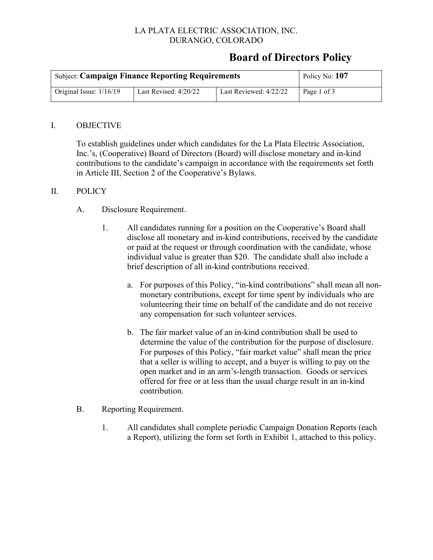### LA PLATA ELECTRIC ASSOCIATION, INC. DURANGO, COLORADO

# **Board of Directors Policy**

| <b>Subject: Campaign Finance Reporting Requirements</b> | Policy No: 107          |                        |             |
|---------------------------------------------------------|-------------------------|------------------------|-------------|
| Original Issue: $1/16/19$                               | Last Revised: $4/20/22$ | Last Reviewed: 4/22/22 | Page 1 of 3 |

#### I. OBJECTIVE

To establish guidelines under which candidates for the La Plata Electric Association, Inc.'s, (Cooperative) Board of Directors (Board) will disclose monetary and in-kind contributions to the candidate's campaign in accordance with the requirements set forth in Article III, Section 2 of the Cooperative's Bylaws.

#### II. POLICY

#### A. Disclosure Requirement.

- 1. All candidates running for a position on the Cooperative's Board shall disclose all monetary and in-kind contributions, received by the candidate or paid at the request or through coordination with the candidate, whose individual value is greater than \$20. The candidate shall also include a brief description of all in-kind contributions received.
	- a. For purposes of this Policy, "in-kind contributions" shall mean all nonmonetary contributions, except for time spent by individuals who are volunteering their time on behalf of the candidate and do not receive any compensation for such volunteer services.
	- b. The fair market value of an in-kind contribution shall be used to determine the value of the contribution for the purpose of disclosure. For purposes of this Policy, "fair market value" shall mean the price that a seller is willing to accept, and a buyer is willing to pay on the open market and in an arm's-length transaction. Goods or services offered for free or at less than the usual charge result in an in-kind contribution.

#### B. Reporting Requirement.

1. All candidates shall complete periodic Campaign Donation Reports (each a Report), utilizing the form set forth in Exhibit 1, attached to this policy.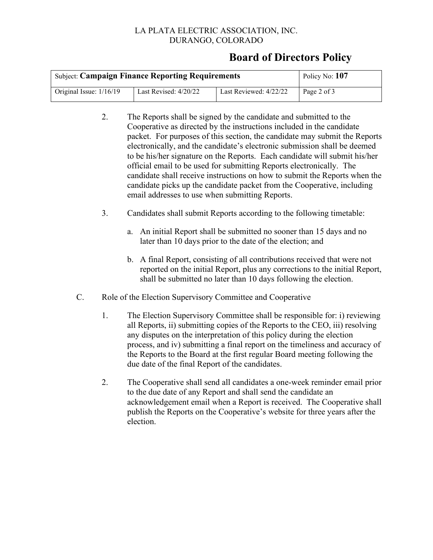#### LA PLATA ELECTRIC ASSOCIATION, INC. DURANGO, COLORADO

### **Board of Directors Policy**

| <b>Subject: Campaign Finance Reporting Requirements</b> | Policy No: 107          |                        |             |
|---------------------------------------------------------|-------------------------|------------------------|-------------|
| Original Issue: $1/16/19$                               | Last Revised: $4/20/22$ | Last Reviewed: 4/22/22 | Page 2 of 3 |

- 2. The Reports shall be signed by the candidate and submitted to the Cooperative as directed by the instructions included in the candidate packet. For purposes of this section, the candidate may submit the Reports electronically, and the candidate's electronic submission shall be deemed to be his/her signature on the Reports. Each candidate will submit his/her official email to be used for submitting Reports electronically. The candidate shall receive instructions on how to submit the Reports when the candidate picks up the candidate packet from the Cooperative, including email addresses to use when submitting Reports.
- 3. Candidates shall submit Reports according to the following timetable:
	- a. An initial Report shall be submitted no sooner than 15 days and no later than 10 days prior to the date of the election; and
	- b. A final Report, consisting of all contributions received that were not reported on the initial Report, plus any corrections to the initial Report, shall be submitted no later than 10 days following the election.
- C. Role of the Election Supervisory Committee and Cooperative
	- 1. The Election Supervisory Committee shall be responsible for: i) reviewing all Reports, ii) submitting copies of the Reports to the CEO, iii) resolving any disputes on the interpretation of this policy during the election process, and iv) submitting a final report on the timeliness and accuracy of the Reports to the Board at the first regular Board meeting following the due date of the final Report of the candidates.
	- 2. The Cooperative shall send all candidates a one-week reminder email prior to the due date of any Report and shall send the candidate an acknowledgement email when a Report is received. The Cooperative shall publish the Reports on the Cooperative's website for three years after the election.